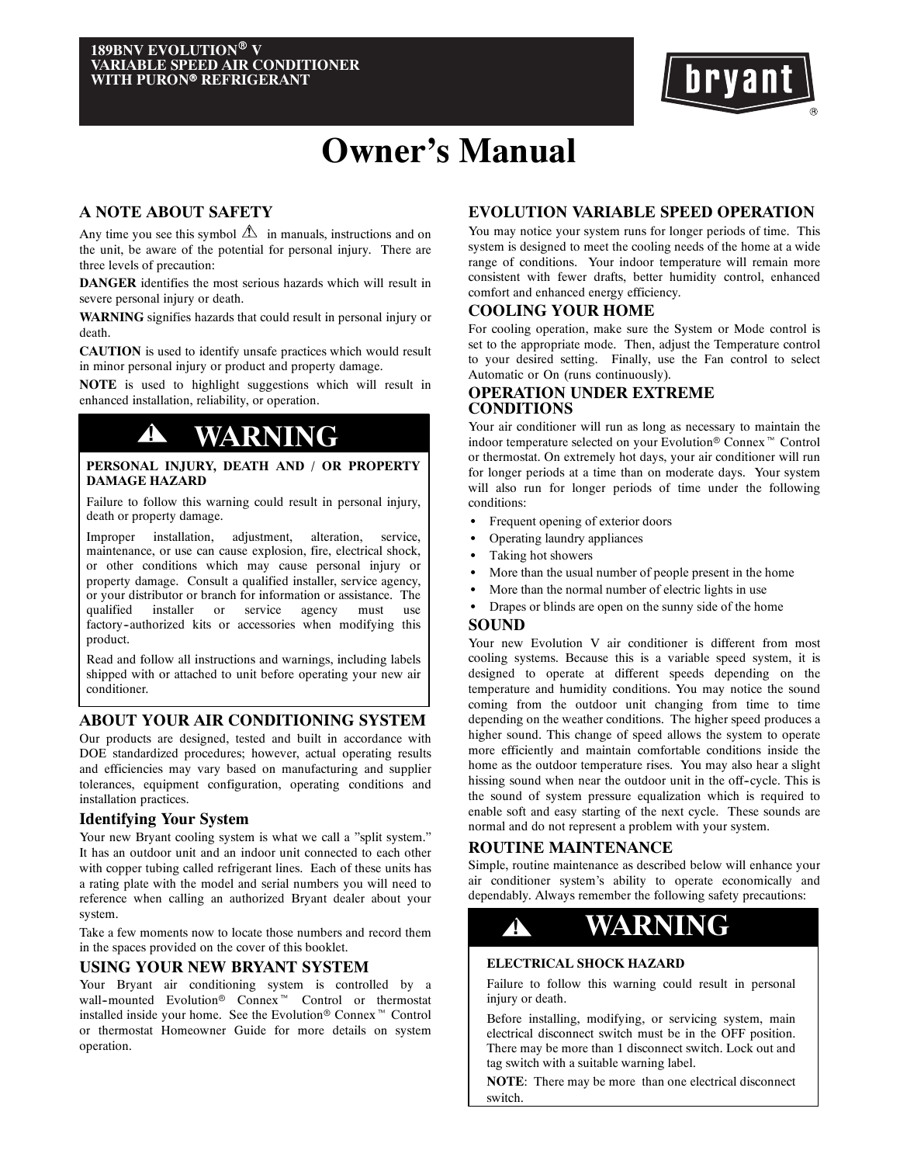

# **Owner's Manual**

# **A NOTE ABOUT SAFETY**

Any time you see this symbol  $\triangle$  in manuals, instructions and on the unit, be aware of the potential for personal injury. There are three levels of precaution:

**DANGER** identifies the most serious hazards which will result in severe personal injury or death.

**WARNING** signifies hazards that could result in personal injury or death.

**CAUTION** is used to identify unsafe practices which would result in minor personal injury or product and property damage.

**NOTE** is used to highlight suggestions which will result in enhanced installation, reliability, or operation.

# **! WARNING**

### **PERSONAL INJURY, DEATH AND / OR PROPERTY DAMAGE HAZARD**

Failure to follow this warning could result in personal injury, death or property damage.

Improper installation, adjustment, alteration, service, maintenance, or use can cause explosion, fire, electrical shock, or other conditions which may cause personal injury or property damage. Consult a qualified installer, service agency, or your distributor or branch for information or assistance. The qualified installer or service agency must use factory-authorized kits or accessories when modifying this product.

Read and follow all instructions and warnings, including labels shipped with or attached to unit before operating your new air conditioner.

# **ABOUT YOUR AIR CONDITIONING SYSTEM**

Our products are designed, tested and built in accordance with DOE standardized procedures; however, actual operating results and efficiencies may vary based on manufacturing and supplier tolerances, equipment configuration, operating conditions and installation practices.

### **Identifying Your System**

Your new Bryant cooling system is what we call a "split system." It has an outdoor unit and an indoor unit connected to each other with copper tubing called refrigerant lines. Each of these units has a rating plate with the model and serial numbers you will need to reference when calling an authorized Bryant dealer about your system.

Take a few moments now to locate those numbers and record them in the spaces provided on the cover of this booklet.

### **USING YOUR NEW BRYANT SYSTEM**

Your Bryant air conditioning system is controlled by a wall-mounted Evolution<sup>®</sup> Connex<sup>™</sup> Control or thermostat installed inside your home. See the Evolution<sup>®</sup> Connex<sup>™</sup> Control or thermostat Homeowner Guide for more details on system operation.

# **EVOLUTION VARIABLE SPEED OPERATION**

You may notice your system runs for longer periods of time. This system is designed to meet the cooling needs of the home at a wide range of conditions. Your indoor temperature will remain more consistent with fewer drafts, better humidity control, enhanced comfort and enhanced energy efficiency.

## **COOLING YOUR HOME**

For cooling operation, make sure the System or Mode control is set to the appropriate mode. Then, adjust the Temperature control to your desired setting. Finally, use the Fan control to select Automatic or On (runs continuously).

# **OPERATION UNDER EXTREME CONDITIONS**

Your air conditioner will run as long as necessary to maintain the indoor temperature selected on your Evolution<sup>®</sup> Connex<sup>™</sup> Control or thermostat. On extremely hot days, your air conditioner will run for longer periods at a time than on moderate days. Your system will also run for longer periods of time under the following conditions:

- Frequent opening of exterior doors
- Operating laundry appliances
- Taking hot showers
- More than the usual number of people present in the home
- More than the normal number of electric lights in use
- Drapes or blinds are open on the sunny side of the home

### **SOUND**

Your new Evolution V air conditioner is different from most cooling systems. Because this is a variable speed system, it is designed to operate at different speeds depending on the temperature and humidity conditions. You may notice the sound coming from the outdoor unit changing from time to time depending on the weather conditions. The higher speed produces a higher sound. This change of speed allows the system to operate more efficiently and maintain comfortable conditions inside the home as the outdoor temperature rises. You may also hear a slight hissing sound when near the outdoor unit in the off-cycle. This is the sound of system pressure equalization which is required to enable soft and easy starting of the next cycle. These sounds are normal and do not represent a problem with your system.

# **ROUTINE MAINTENANCE**

Simple, routine maintenance as described below will enhance your air conditioner system's ability to operate economically and dependably. Always remember the following safety precautions:



# **ELECTRICAL SHOCK HAZARD**

Failure to follow this warning could result in personal injury or death.

Before installing, modifying, or servicing system, main electrical disconnect switch must be in the OFF position. There may be more than 1 disconnect switch. Lock out and tag switch with a suitable warning label.

**NOTE**: There may be more than one electrical disconnect switch.